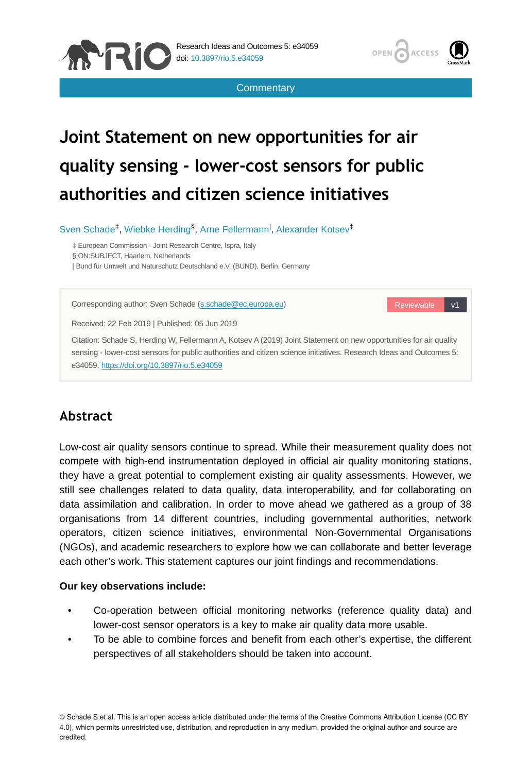





# **Joint Statement on new opportunities for air quality sensing - lower-cost sensors for public authorities and citizen science initiatives**

Sven Schade<sup>‡</sup>, Wiebke Herding<sup>§</sup>, Arne Fellermann<sup>I</sup>, Alexander Kotsev<sup>‡</sup>

‡ European Commission - Joint Research Centre, Ispra, Italy

§ ON:SUBJECT, Haarlem, Netherlands

| Bund für Umwelt und Naturschutz Deutschland e.V. (BUND), Berlin, Germany

Corresponding author: Sven Schade [\(s.schade@ec.europa.eu\)](mailto:s.schade@ec.europa.eu)

Reviewable v1

Received: 22 Feb 2019 | Published: 05 Jun 2019

Citation: Schade S, Herding W, Fellermann A, Kotsev A (2019) Joint Statement on new opportunities for air quality sensing - lower-cost sensors for public authorities and citizen science initiatives. Research Ideas and Outcomes 5: e34059.<https://doi.org/10.3897/rio.5.e34059>

## **Abstract**

Low-cost air quality sensors continue to spread. While their measurement quality does not compete with high-end instrumentation deployed in official air quality monitoring stations, they have a great potential to complement existing air quality assessments. However, we still see challenges related to data quality, data interoperability, and for collaborating on data assimilation and calibration. In order to move ahead we gathered as a group of 38 organisations from 14 different countries, including governmental authorities, network operators, citizen science initiatives, environmental Non-Governmental Organisations (NGOs), and academic researchers to explore how we can collaborate and better leverage each other's work. This statement captures our joint findings and recommendations.

#### **Our key observations include:**

- Co-operation between official monitoring networks (reference quality data) and lower-cost sensor operators is a key to make air quality data more usable.
- To be able to combine forces and benefit from each other's expertise, the different perspectives of all stakeholders should be taken into account.

© Schade S et al. This is an open access article distributed under the terms of the Creative Commons Attribution License (CC BY 4.0), which permits unrestricted use, distribution, and reproduction in any medium, provided the original author and source are credited.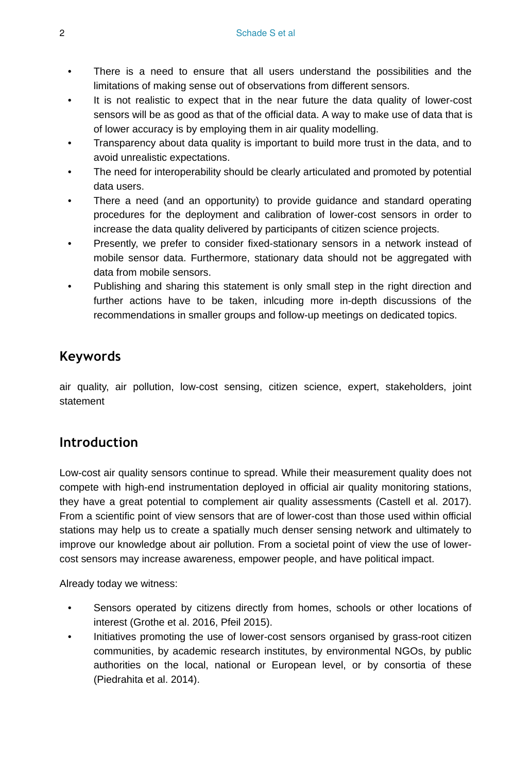- There is a need to ensure that all users understand the possibilities and the limitations of making sense out of observations from different sensors.
- It is not realistic to expect that in the near future the data quality of lower-cost sensors will be as good as that of the official data. A way to make use of data that is of lower accuracy is by employing them in air quality modelling.
- Transparency about data quality is important to build more trust in the data, and to avoid unrealistic expectations.
- The need for interoperability should be clearly articulated and promoted by potential data users.
- There a need (and an opportunity) to provide guidance and standard operating procedures for the deployment and calibration of lower-cost sensors in order to increase the data quality delivered by participants of citizen science projects.
- Presently, we prefer to consider fixed-stationary sensors in a network instead of mobile sensor data. Furthermore, stationary data should not be aggregated with data from mobile sensors.
- Publishing and sharing this statement is only small step in the right direction and further actions have to be taken, inlcuding more in-depth discussions of the recommendations in smaller groups and follow-up meetings on dedicated topics.

## **Keywords**

air quality, air pollution, low-cost sensing, citizen science, expert, stakeholders, joint statement

## **Introduction**

Low-cost air quality sensors continue to spread. While their measurement quality does not compete with high-end instrumentation deployed in official air quality monitoring stations, they have a great potential to complement air quality assessments (Castell et al. 2017). From a scientific point of view sensors that are of lower-cost than those used within official stations may help us to create a spatially much denser sensing network and ultimately to improve our knowledge about air pollution. From a societal point of view the use of lowercost sensors may increase awareness, empower people, and have political impact.

Already today we witness:

- Sensors operated by citizens directly from homes, schools or other locations of interest (Grothe et al. 2016, Pfeil 2015).
- Initiatives promoting the use of lower-cost sensors organised by grass-root citizen communities, by academic research institutes, by environmental NGOs, by public authorities on the local, national or European level, or by consortia of these (Piedrahita et al. 2014).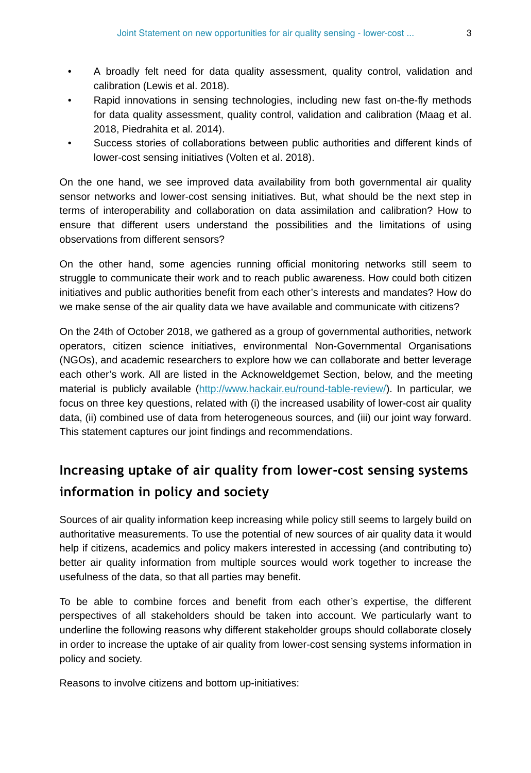- A broadly felt need for data quality assessment, quality control, validation and calibration (Lewis et al. 2018).
- Rapid innovations in sensing technologies, including new fast on-the-fly methods for data quality assessment, quality control, validation and calibration (Maag et al. 2018, Piedrahita et al. 2014).
- Success stories of collaborations between public authorities and different kinds of lower-cost sensing initiatives (Volten et al. 2018).

On the one hand, we see improved data availability from both governmental air quality sensor networks and lower-cost sensing initiatives. But, what should be the next step in terms of interoperability and collaboration on data assimilation and calibration? How to ensure that different users understand the possibilities and the limitations of using observations from different sensors?

On the other hand, some agencies running official monitoring networks still seem to struggle to communicate their work and to reach public awareness. How could both citizen initiatives and public authorities benefit from each other's interests and mandates? How do we make sense of the air quality data we have available and communicate with citizens?

On the 24th of October 2018, we gathered as a group of governmental authorities, network operators, citizen science initiatives, environmental Non-Governmental Organisations (NGOs), and academic researchers to explore how we can collaborate and better leverage each other's work. All are listed in the Acknoweldgemet Section, below, and the meeting material is publicly available [\(http://www.hackair.eu/round-table-review/\)](http://www.hackair.eu/round-table-review/). In particular, we focus on three key questions, related with (i) the increased usability of lower-cost air quality data, (ii) combined use of data from heterogeneous sources, and (iii) our joint way forward. This statement captures our joint findings and recommendations.

# **Increasing uptake of air quality from lower-cost sensing systems information in policy and society**

Sources of air quality information keep increasing while policy still seems to largely build on authoritative measurements. To use the potential of new sources of air quality data it would help if citizens, academics and policy makers interested in accessing (and contributing to) better air quality information from multiple sources would work together to increase the usefulness of the data, so that all parties may benefit.

To be able to combine forces and benefit from each other's expertise, the different perspectives of all stakeholders should be taken into account. We particularly want to underline the following reasons why different stakeholder groups should collaborate closely in order to increase the uptake of air quality from lower-cost sensing systems information in policy and society.

Reasons to involve citizens and bottom up-initiatives: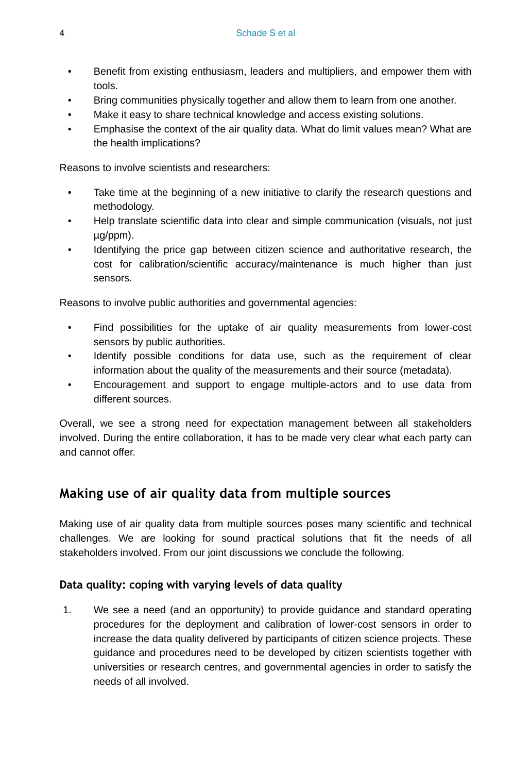- Benefit from existing enthusiasm, leaders and multipliers, and empower them with tools.
- Bring communities physically together and allow them to learn from one another.
- Make it easy to share technical knowledge and access existing solutions.
- Emphasise the context of the air quality data. What do limit values mean? What are the health implications?

Reasons to involve scientists and researchers:

- Take time at the beginning of a new initiative to clarify the research questions and methodology.
- Help translate scientific data into clear and simple communication (visuals, not just µg/ppm).
- Identifying the price gap between citizen science and authoritative research, the cost for calibration/scientific accuracy/maintenance is much higher than just sensors.

Reasons to involve public authorities and governmental agencies:

- Find possibilities for the uptake of air quality measurements from lower-cost sensors by public authorities.
- Identify possible conditions for data use, such as the requirement of clear information about the quality of the measurements and their source (metadata).
- Encouragement and support to engage multiple-actors and to use data from different sources.

Overall, we see a strong need for expectation management between all stakeholders involved. During the entire collaboration, it has to be made very clear what each party can and cannot offer.

## **Making use of air quality data from multiple sources**

Making use of air quality data from multiple sources poses many scientific and technical challenges. We are looking for sound practical solutions that fit the needs of all stakeholders involved. From our joint discussions we conclude the following.

#### **Data quality: coping with varying levels of data quality**

1. We see a need (and an opportunity) to provide guidance and standard operating procedures for the deployment and calibration of lower-cost sensors in order to increase the data quality delivered by participants of citizen science projects. These guidance and procedures need to be developed by citizen scientists together with universities or research centres, and governmental agencies in order to satisfy the needs of all involved.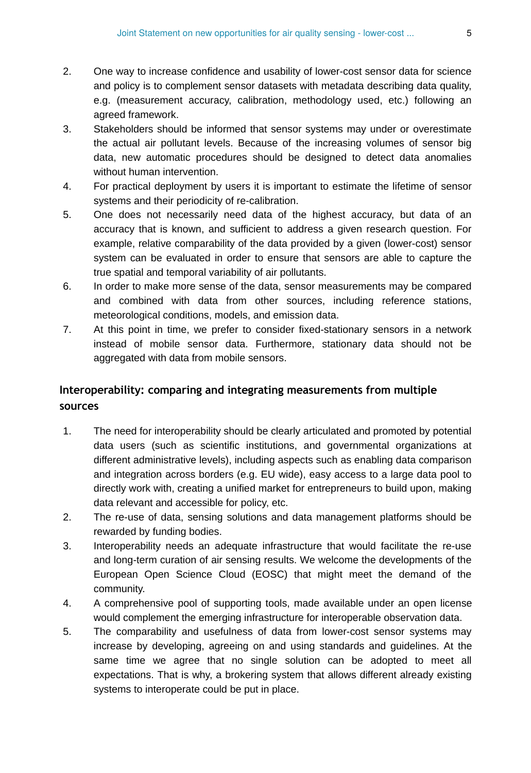- 2. One way to increase confidence and usability of lower-cost sensor data for science and policy is to complement sensor datasets with metadata describing data quality, e.g. (measurement accuracy, calibration, methodology used, etc.) following an agreed framework.
- 3. Stakeholders should be informed that sensor systems may under or overestimate the actual air pollutant levels. Because of the increasing volumes of sensor big data, new automatic procedures should be designed to detect data anomalies without human intervention.
- 4. For practical deployment by users it is important to estimate the lifetime of sensor systems and their periodicity of re-calibration.
- 5. One does not necessarily need data of the highest accuracy, but data of an accuracy that is known, and sufficient to address a given research question. For example, relative comparability of the data provided by a given (lower-cost) sensor system can be evaluated in order to ensure that sensors are able to capture the true spatial and temporal variability of air pollutants.
- 6. In order to make more sense of the data, sensor measurements may be compared and combined with data from other sources, including reference stations, meteorological conditions, models, and emission data.
- 7. At this point in time, we prefer to consider fixed-stationary sensors in a network instead of mobile sensor data. Furthermore, stationary data should not be aggregated with data from mobile sensors.

## **Interoperability: comparing and integrating measurements from multiple sources**

- 1. The need for interoperability should be clearly articulated and promoted by potential data users (such as scientific institutions, and governmental organizations at different administrative levels), including aspects such as enabling data comparison and integration across borders (e.g. EU wide), easy access to a large data pool to directly work with, creating a unified market for entrepreneurs to build upon, making data relevant and accessible for policy, etc.
- 2. The re-use of data, sensing solutions and data management platforms should be rewarded by funding bodies.
- 3. Interoperability needs an adequate infrastructure that would facilitate the re-use and long-term curation of air sensing results. We welcome the developments of the European Open Science Cloud (EOSC) that might meet the demand of the community.
- 4. A comprehensive pool of supporting tools, made available under an open license would complement the emerging infrastructure for interoperable observation data.
- 5. The comparability and usefulness of data from lower-cost sensor systems may increase by developing, agreeing on and using standards and guidelines. At the same time we agree that no single solution can be adopted to meet all expectations. That is why, a brokering system that allows different already existing systems to interoperate could be put in place.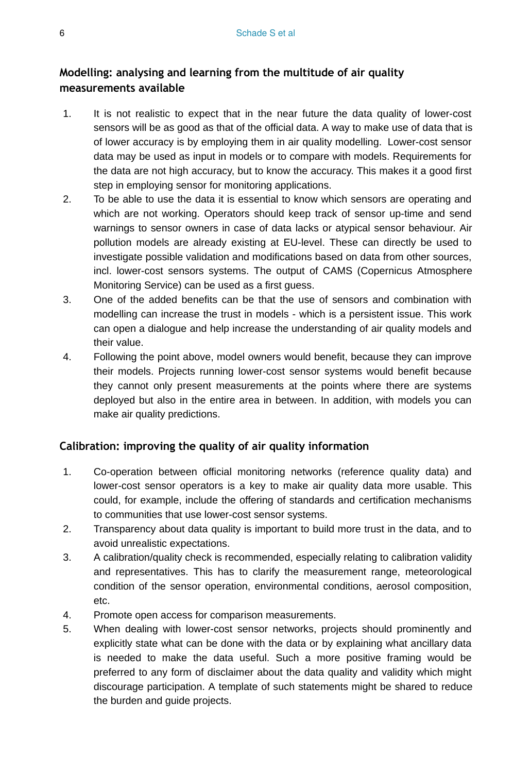## **Modelling: analysing and learning from the multitude of air quality measurements available**

- 1. It is not realistic to expect that in the near future the data quality of lower-cost sensors will be as good as that of the official data. A way to make use of data that is of lower accuracy is by employing them in air quality modelling. Lower-cost sensor data may be used as input in models or to compare with models. Requirements for the data are not high accuracy, but to know the accuracy. This makes it a good first step in employing sensor for monitoring applications.
- 2. To be able to use the data it is essential to know which sensors are operating and which are not working. Operators should keep track of sensor up-time and send warnings to sensor owners in case of data lacks or atypical sensor behaviour. Air pollution models are already existing at EU-level. These can directly be used to investigate possible validation and modifications based on data from other sources, incl. lower-cost sensors systems. The output of CAMS (Copernicus Atmosphere Monitoring Service) can be used as a first guess.
- 3. One of the added benefits can be that the use of sensors and combination with modelling can increase the trust in models - which is a persistent issue. This work can open a dialogue and help increase the understanding of air quality models and their value.
- 4. Following the point above, model owners would benefit, because they can improve their models. Projects running lower-cost sensor systems would benefit because they cannot only present measurements at the points where there are systems deployed but also in the entire area in between. In addition, with models you can make air quality predictions.

#### **Calibration: improving the quality of air quality information**

- 1. Co-operation between official monitoring networks (reference quality data) and lower-cost sensor operators is a key to make air quality data more usable. This could, for example, include the offering of standards and certification mechanisms to communities that use lower-cost sensor systems.
- 2. Transparency about data quality is important to build more trust in the data, and to avoid unrealistic expectations.
- 3. A calibration/quality check is recommended, especially relating to calibration validity and representatives. This has to clarify the measurement range, meteorological condition of the sensor operation, environmental conditions, aerosol composition, etc.
- 4. Promote open access for comparison measurements.
- 5. When dealing with lower-cost sensor networks, projects should prominently and explicitly state what can be done with the data or by explaining what ancillary data is needed to make the data useful. Such a more positive framing would be preferred to any form of disclaimer about the data quality and validity which might discourage participation. A template of such statements might be shared to reduce the burden and guide projects.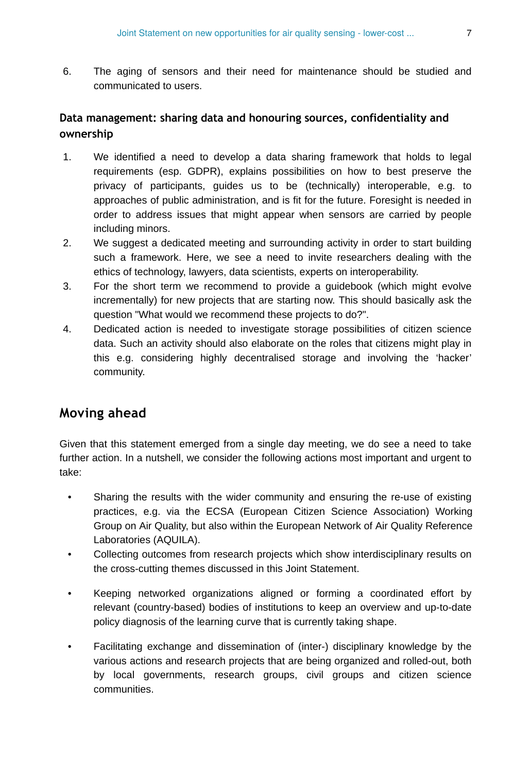6. The aging of sensors and their need for maintenance should be studied and communicated to users.

## **Data management: sharing data and honouring sources, confidentiality and ownership**

- 1. We identified a need to develop a data sharing framework that holds to legal requirements (esp. GDPR), explains possibilities on how to best preserve the privacy of participants, guides us to be (technically) interoperable, e.g. to approaches of public administration, and is fit for the future. Foresight is needed in order to address issues that might appear when sensors are carried by people including minors.
- 2. We suggest a dedicated meeting and surrounding activity in order to start building such a framework. Here, we see a need to invite researchers dealing with the ethics of technology, lawyers, data scientists, experts on interoperability.
- 3. For the short term we recommend to provide a guidebook (which might evolve incrementally) for new projects that are starting now. This should basically ask the question "What would we recommend these projects to do?".
- 4. Dedicated action is needed to investigate storage possibilities of citizen science data. Such an activity should also elaborate on the roles that citizens might play in this e.g. considering highly decentralised storage and involving the 'hacker' community.

## **Moving ahead**

Given that this statement emerged from a single day meeting, we do see a need to take further action. In a nutshell, we consider the following actions most important and urgent to take:

- Sharing the results with the wider community and ensuring the re-use of existing practices, e.g. via the ECSA (European Citizen Science Association) Working Group on Air Quality, but also within the European Network of Air Quality Reference Laboratories (AQUILA).
- Collecting outcomes from research projects which show interdisciplinary results on the cross-cutting themes discussed in this Joint Statement.
- Keeping networked organizations aligned or forming a coordinated effort by relevant (country-based) bodies of institutions to keep an overview and up-to-date policy diagnosis of the learning curve that is currently taking shape.
- Facilitating exchange and dissemination of (inter-) disciplinary knowledge by the various actions and research projects that are being organized and rolled-out, both by local governments, research groups, civil groups and citizen science communities.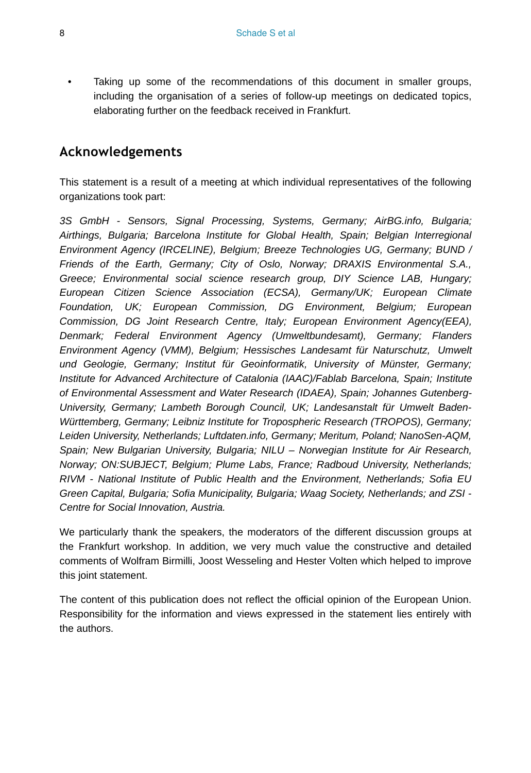Taking up some of the recommendations of this document in smaller groups, including the organisation of a series of follow-up meetings on dedicated topics, elaborating further on the feedback received in Frankfurt.

## **Acknowledgements**

This statement is a result of a meeting at which individual representatives of the following organizations took part:

*3S GmbH - Sensors, Signal Processing, Systems, Germany; AirBG.info, Bulgaria; Airthings, Bulgaria; Barcelona Institute for Global Health, Spain; Belgian Interregional Environment Agency (IRCELINE), Belgium; Breeze Technologies UG, Germany; BUND / Friends of the Earth, Germany; City of Oslo, Norway; DRAXIS Environmental S.A., Greece; Environmental social science research group, DIY Science LAB, Hungary; European Citizen Science Association (ECSA), Germany/UK; European Climate Foundation, UK; European Commission, DG Environment, Belgium; European Commission, DG Joint Research Centre, Italy; European Environment Agency(EEA), Denmark; Federal Environment Agency (Umweltbundesamt), Germany; Flanders Environment Agency (VMM), Belgium; Hessisches Landesamt für Naturschutz, Umwelt und Geologie, Germany; Institut für Geoinformatik, University of Münster, Germany; Institute for Advanced Architecture of Catalonia (IAAC)/Fablab Barcelona, Spain; Institute of Environmental Assessment and Water Research (IDAEA), Spain; Johannes Gutenberg-University, Germany; Lambeth Borough Council, UK; Landesanstalt für Umwelt Baden-Württemberg, Germany; Leibniz Institute for Tropospheric Research (TROPOS), Germany; Leiden University, Netherlands; Luftdaten.info, Germany; Meritum, Poland; NanoSen-AQM, Spain; New Bulgarian University, Bulgaria; NILU – Norwegian Institute for Air Research, Norway; ON:SUBJECT, Belgium; Plume Labs, France; Radboud University, Netherlands; RIVM - National Institute of Public Health and the Environment, Netherlands; Sofia EU Green Capital, Bulgaria; Sofia Municipality, Bulgaria; Waag Society, Netherlands; and ZSI - Centre for Social Innovation, Austria.*

We particularly thank the speakers, the moderators of the different discussion groups at the Frankfurt workshop. In addition, we very much value the constructive and detailed comments of Wolfram Birmilli, Joost Wesseling and Hester Volten which helped to improve this joint statement.

The content of this publication does not reflect the official opinion of the European Union. Responsibility for the information and views expressed in the statement lies entirely with the authors.